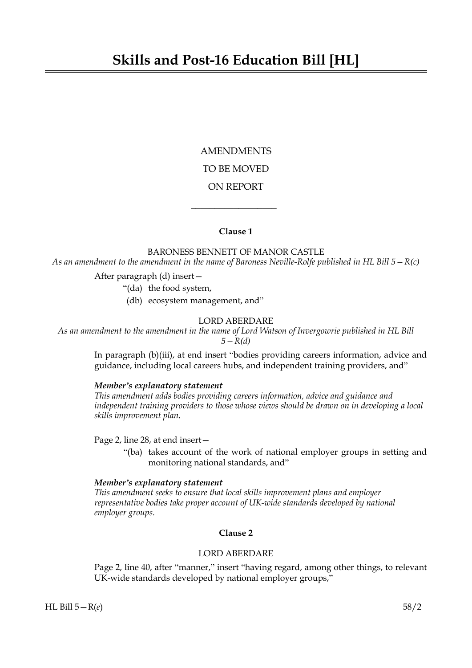AMENDMENTS TO BE MOVED ON REPORT

## **Clause 1**

 $\overline{\phantom{a}}$  , where  $\overline{\phantom{a}}$ 

BARONESS BENNETT OF MANOR CASTLE *As an amendment to the amendment in the name of Baroness Neville-Rolfe published in HL Bill 5—R(c)*

After paragraph (d) insert—

"(da) the food system,

(db) ecosystem management, and"

#### LORD ABERDARE

*As an amendment to the amendment in the name of Lord Watson of Invergowrie published in HL Bill 5—R(d)*

> In paragraph (b)(iii), at end insert "bodies providing careers information, advice and guidance, including local careers hubs, and independent training providers, and"

## *Member's explanatory statement*

*This amendment adds bodies providing careers information, advice and guidance and independent training providers to those whose views should be drawn on in developing a local skills improvement plan.*

Page 2, line 28, at end insert—

"(ba) takes account of the work of national employer groups in setting and monitoring national standards, and"

### *Member's explanatory statement*

*This amendment seeks to ensure that local skills improvement plans and employer representative bodies take proper account of UK-wide standards developed by national employer groups.*

# **Clause 2**

# LORD ABERDARE

Page 2, line 40, after "manner," insert "having regard, among other things, to relevant UK-wide standards developed by national employer groups,"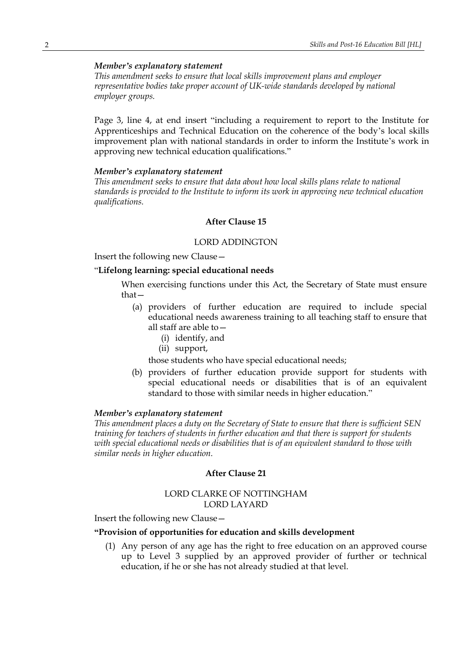# *Member's explanatory statement*

*This amendment seeks to ensure that local skills improvement plans and employer representative bodies take proper account of UK-wide standards developed by national employer groups.*

Page 3, line 4, at end insert "including a requirement to report to the Institute for Apprenticeships and Technical Education on the coherence of the body's local skills improvement plan with national standards in order to inform the Institute's work in approving new technical education qualifications."

#### *Member's explanatory statement*

*This amendment seeks to ensure that data about how local skills plans relate to national standards is provided to the Institute to inform its work in approving new technical education qualifications.*

### **After Clause 15**

## LORD ADDINGTON

Insert the following new Clause—

### "**Lifelong learning: special educational needs**

When exercising functions under this Act, the Secretary of State must ensure that—

- (a) providers of further education are required to include special educational needs awareness training to all teaching staff to ensure that all staff are able to—
	- (i) identify, and
	- (ii) support,

those students who have special educational needs;

(b) providers of further education provide support for students with special educational needs or disabilities that is of an equivalent standard to those with similar needs in higher education."

### *Member's explanatory statement*

*This amendment places a duty on the Secretary of State to ensure that there is sufficient SEN training for teachers of students in further education and that there is support for students with special educational needs or disabilities that is of an equivalent standard to those with similar needs in higher education.*

#### **After Clause 21**

# LORD CLARKE OF NOTTINGHAM LORD LAYARD

Insert the following new Clause—

### **"Provision of opportunities for education and skills development**

(1) Any person of any age has the right to free education on an approved course up to Level 3 supplied by an approved provider of further or technical education, if he or she has not already studied at that level.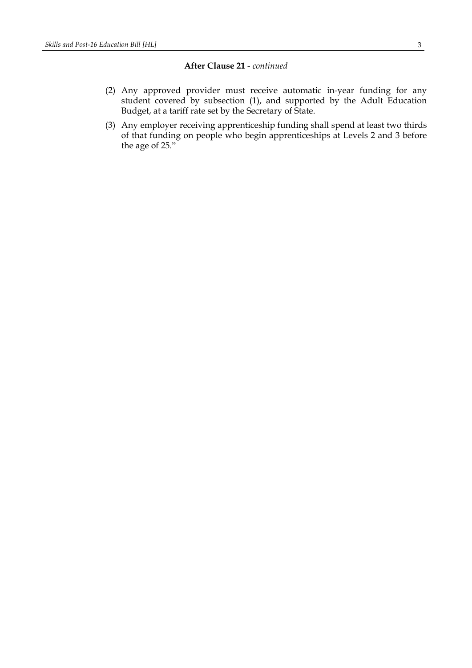# **After Clause 21** *- continued*

- (2) Any approved provider must receive automatic in-year funding for any student covered by subsection (1), and supported by the Adult Education Budget, at a tariff rate set by the Secretary of State.
- (3) Any employer receiving apprenticeship funding shall spend at least two thirds of that funding on people who begin apprenticeships at Levels 2 and 3 before the age of 25."